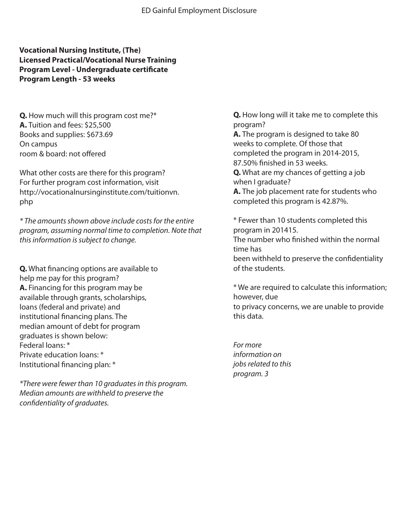**Vocational Nursing Institute, (The) Licensed Practical/Vocational Nurse Training Program Level - Undergraduate certificate Program Length - 53 weeks**

**Q.** How much will this program cost me?\* **A.** Tuition and fees: \$25,500 Books and supplies: \$673.69 On campus room & board: not offered

What other costs are there for this program? For further program cost information, visit http://vocationalnursinginstitute.com/tuitionvn. php

*\* The amounts shown above include costs for the entire program, assuming normal time to completion. Note that this information is subject to change.*

**Q.** What financing options are available to help me pay for this program? **A.** Financing for this program may be available through grants, scholarships, loans (federal and private) and institutional financing plans. The median amount of debt for program graduates is shown below: Federal loans: \* Private education loans: \* Institutional financing plan: \*

*\*There were fewer than 10 graduates in this program. Median amounts are withheld to preserve the condentiality of graduates.*

**Q.** How long will it take me to complete this program? **A.** The program is designed to take 80 weeks to complete. Of those that completed the program in 2014-2015, 87.50% finished in 53 weeks. **Q.** What are my chances of getting a job when I graduate? **A.** The job placement rate for students who completed this program is 42.87%.

\* Fewer than 10 students completed this program in 201415.

The number who finished within the normal time has

been withheld to preserve the confidentiality of the students.

\* We are required to calculate this information; however, due to privacy concerns, we are unable to provide this data.

*For more information on jobs related to this program. 3*